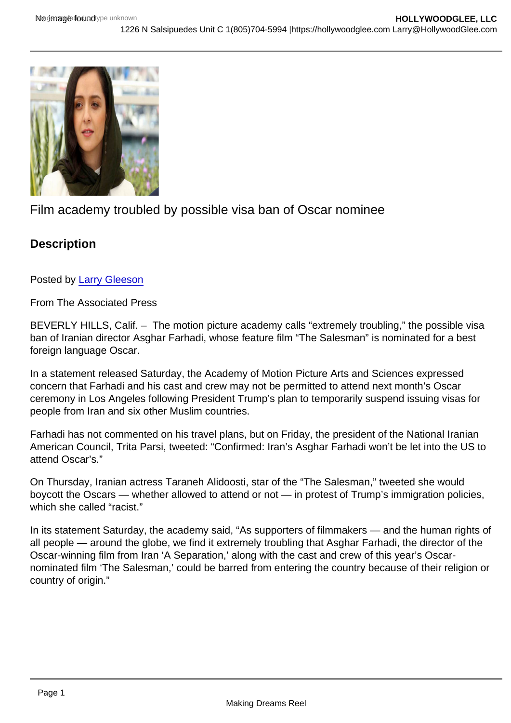## Film academy troubled by possible visa ban of Oscar nominee

**Description** 

Posted by [Larry Gleeson](http://sbccfilmreviews.org/?s=Larry+Gleeson)

From The Associated Press

BEVERLY HILLS, Calif. – The motion picture academy calls "extremely troubling," the possible visa ban of Iranian director Asghar Farhadi, whose feature film "The Salesman" is nominated for a best foreign language Oscar.

In a statement released Saturday, the Academy of Motion Picture Arts and Sciences expressed concern that Farhadi and his cast and crew may not be permitted to attend next month's Oscar ceremony in Los Angeles following President Trump's plan to temporarily suspend issuing visas for people from Iran and six other Muslim countries.

Farhadi has not commented on his travel plans, but on Friday, the president of the National Iranian American Council, Trita Parsi, tweeted: "Confirmed: Iran's Asghar Farhadi won't be let into the US to attend Oscar's."

On Thursday, Iranian actress Taraneh Alidoosti, star of the "The Salesman," tweeted she would boycott the Oscars — whether allowed to attend or not — in protest of Trump's immigration policies, which she called "racist."

In its statement Saturday, the academy said, "As supporters of filmmakers — and the human rights of all people — around the globe, we find it extremely troubling that Asghar Farhadi, the director of the Oscar-winning film from Iran 'A Separation,' along with the cast and crew of this year's Oscarnominated film 'The Salesman,' could be barred from entering the country because of their religion or country of origin."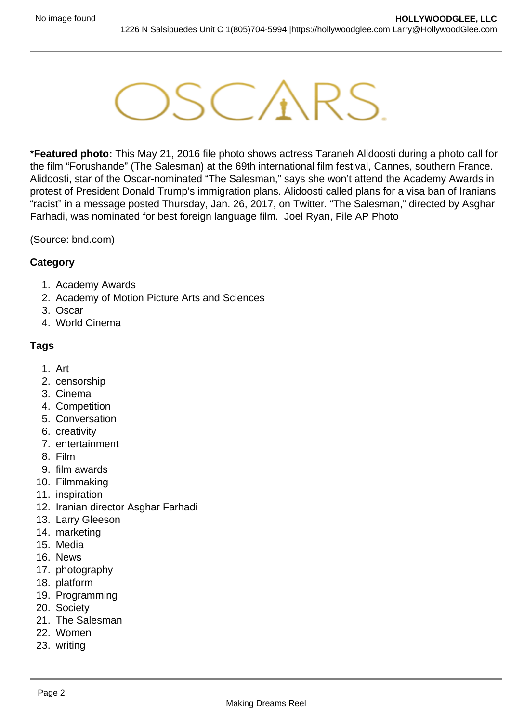

\***Featured photo:** This May 21, 2016 file photo shows actress Taraneh Alidoosti during a photo call for the film "Forushande" (The Salesman) at the 69th international film festival, Cannes, southern France. Alidoosti, star of the Oscar-nominated "The Salesman," says she won't attend the Academy Awards in protest of President Donald Trump's immigration plans. Alidoosti called plans for a visa ban of Iranians "racist" in a message posted Thursday, Jan. 26, 2017, on Twitter. "The Salesman," directed by Asghar Farhadi, was nominated for best foreign language film. Joel Ryan, File AP Photo

(Source: bnd.com)

## **Category**

- 1. Academy Awards
- 2. Academy of Motion Picture Arts and Sciences
- 3. Oscar
- 4. World Cinema

## **Tags**

- 1. Art
- 2. censorship
- 3. Cinema
- 4. Competition
- 5. Conversation
- 6. creativity
- 7. entertainment
- 8. Film
- 9. film awards
- 10. Filmmaking
- 11. inspiration
- 12. Iranian director Asghar Farhadi
- 13. Larry Gleeson
- 14. marketing
- 15. Media
- 16. News
- 17. photography
- 18. platform
- 19. Programming
- 20. Society
- 21. The Salesman
- 22. Women
- 23. writing